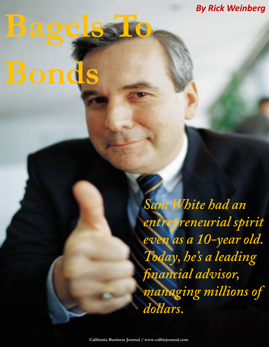*By Rick Weinberg*

## **Bagels To Bonds**

Sam White had an entrepreneurial spirit even as a 10-year old. Today, he's a leading financial advisor, managing millions of dollars.